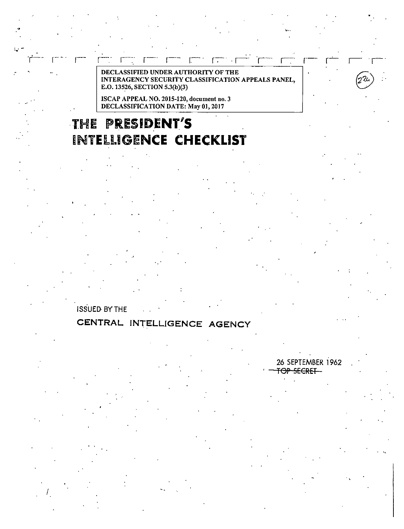DECLASSIFIED UNDER AUTHORITY OF THE INTERAGENCY SECURITY CLASSIFICATION APPEALS PANEL, E.O. 13526, SECTION 5.3(b)(3)

r-- r-· 1- <sup>1</sup>. . 1-: r-·· r--- r.-- · r-:-- · . r-- r-- r-.-

ISCAP APPEAL NO. 2015-120, document no. 3 DECLASSIFICATION DATE: May OJ, 2017

# **THE PRESIDENT'S HNYElllGENCE CHECKLIST**

. For a set of the set of the set of the set of the set of the set of the set of the set of the set of the set of the set of the set of the set of the set of the set of the set of the set of the set of the set of the set

ISSUED BY THE

### **CENTRAL INTELLIGENCE AGENCY**

I

26 SEPTEMBER 1962 OP SECRET

. '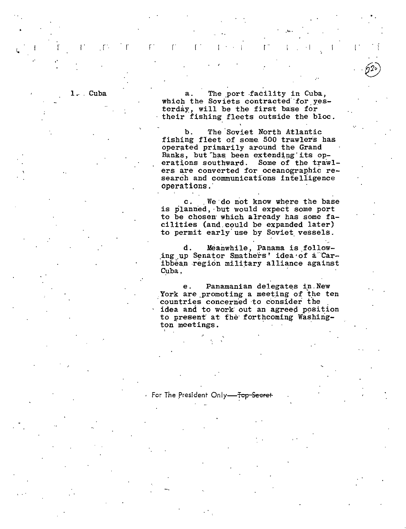1. Cuba

 $\mathcal{L}$ 

The port facility in Cuba,  $a$ which the Soviets contracted for yesterday, will be the first base for their fishing fleets outside the bloc.

The Soviet North Atlantic b. fishing fleet of some 500 trawlers has operated primarily around the Grand Banks, but has been extending its operations southward. Some of the trawlers are converted for oceanographic research and communications intelligence operations.

We do not know where the base  $\mathbf{c}$ . is planned, but would expect some port to be chosen which already has some facilities (and could be expanded later) to permit early use by Soviet vessels.

Meanwhile, Panama is followd. ing up Senator Smathers' idea of a Caribbean region military alliance against Cuba,

Panamanian delegates in New е. York are promoting a meeting of the ten countries concerned to consider the idea and to work out an agreed position to present at the forthcoming Washington meetings.

For The President Only-Top Secret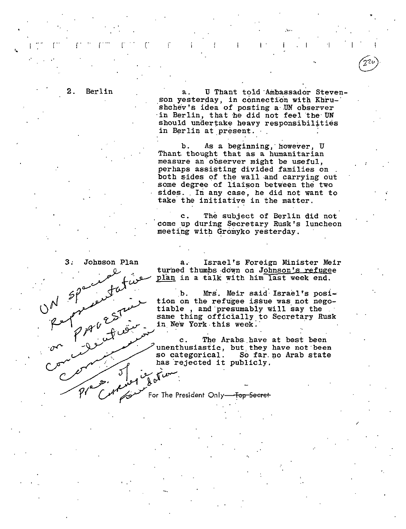$\overline{2}$ . Berlin

U Thant told Ambassador Steven $a$ son yesterday, in connection with Khrushchev's idea of posting a UN observer in Berlin, that he did not feel the UN should undertake heavy responsibilities in Berlin at present.

As a beginning, however, U b. Thant thought that as a humanitarian measure an observer might be useful, perhaps assisting divided families on both sides of the wall and carrying out some degree of liaison between the two sides. In any case, he did not want to take the initiative in the matter.

The subject of Berlin did not  $\mathbf{c}$ . come up during Secretary Rusk's luncheon meeting with Gromyko yesterday.

Israel's Foreign Minister Meir  $a$ turned thumbs down on Johnson's refugee plan in a talk with him last week end.

Mrs. Meir said Israel's posib. tion on the refugee issue was not negotiable, and presumably will say the same thing officially to Secretary Rusk in New York this week.

The Arabs have at best been  $\mathbf{c}$ . unenthusiastic, but they have not been so categorical. So far no Arab state has rejected it publicly.

For The President Only-<del>Top Secret</del>

Johnson Plan

 $3:$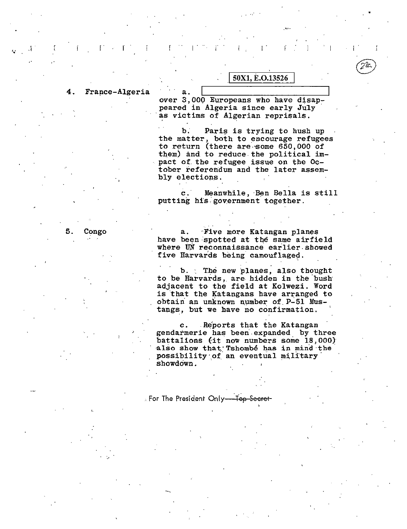$\overline{4}$  . France-Algeria

over 3,000 Europeans who have disappeared in Algeria since early July as victims of Algerian reprisals.

50X1, E.O.13526

Paris is trying to hush up b. the matter, both to encourage refugees to return (there are some 650,000 of them) and to reduce the political impact of the refugee issue on the October referendum and the later assembly elections.

Meanwhile, Ben Bella is still  $\mathbf{c}$ . putting his government together.

Congo 5.

Five more Katangan planes  $a$ . have been spotted at the same airfield where UN reconnaissance earlier showed five Harvards being camouflaged.

b. The new planes, also thought to be Harvards, are hidden in the bush adjacent to the field at Kolwezi. Word is that the Katangans have arranged to obtain an unknown number of P-51 Mustangs, but we have no confirmation.

Reports that the Katangan c. gendarmerie has been expanded by three battalions (it now numbers some 18,000) also show that Tshombé has in mind the possibility of an eventual military showdown.

**For The President Only---Top-Secret-**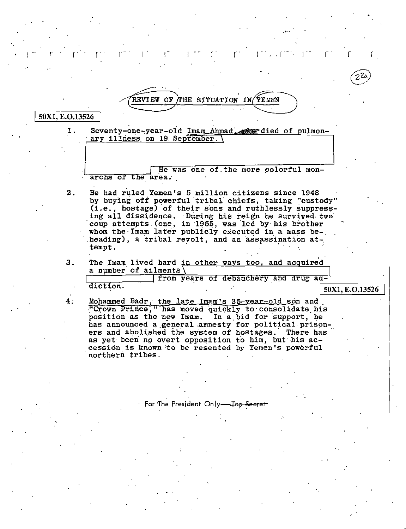REVIEW OF THE SITUATION IN/YEMEN

#### 50X1, E.O.13526

1. Seventy-one-year-old Imam Ahmad exceeded of pulmonary illness on 19 September.

He was one of the more colorful monarchs of the area.

- He had ruled Yemen's 5 million citizens since 1948  $2.$ by buving off powerful tribal chiefs, taking "custody" (i.e., hostage) of their sons and ruthlessly suppressing all dissidence. During his reign he survived two coup attempts (one, in 1955, was led by his brother whom the Imam later publicly executed in a mass beheading), a tribal revolt, and an assassination attempt.
- $3<sub>1</sub>$ The Imam lived hard in other ways too, and acquired a number of ailments $\langle$

from years of debauchery and drug addiction. 50X1, E.O.13526

Mohammed Badr, the late Imam's 35-year-old son and<br>"Crown Prince," has moved quickly to consolidate his 4. position as the new Imam. In a bid for support, he has announced a general amnesty for political prisoners and abolished the system of hostages. There has as yet been no overt opposition to him. but his accession is known to be resented by Yemen's powerful northern tribes.

 $\cdot$  For The President Only-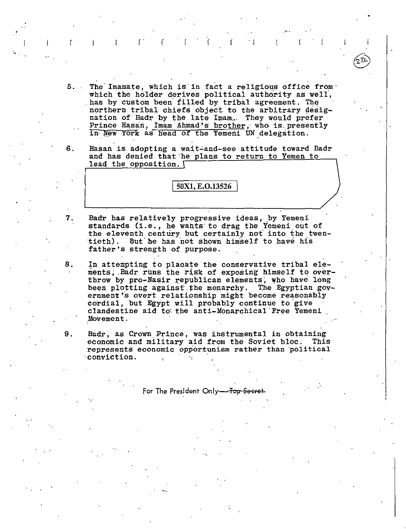5. The Imamate, which is in fact a religious office from which the holder derives political authority as well, has by custom been filled by tribal agreement. The northern tribal chiefs object to the arbitrary designation of Badr by the late Imam. They would prefer Prince Hasan, Imam Ahmad's brother, who is presently in New York as head of the Yemeni UN delegation.

 $\Gamma$  . In  $\Gamma$  is  $\Gamma$  if  $\Gamma$  is  $\Gamma$  if  $\Gamma$  is  $\Gamma$  if  $\Gamma$  if  $\Gamma$  if  $\Gamma$ 

..

6. Hasan is adopting a wait-and-see attitude toward Badr and has denied that he plans to return to Yemen to lead the opposition.

50X1, E.O.13526

- 7. Badr has relatively progressive ideas, by Yemeni standards {i.e., he wants· to drag the Yemeni out of the eleventh century but certainly not into the twentieth). But he has not shown himself to have his father's strength of purpose.
- 8. In attempting to placate the conservative tribal elements; .Badr runs the risk of exposing himself to overthrow by pro-Nasir republican elements; who have long been plotting against the monarchy. The Egyptian government's overt relationship might become reasonably cordial, but Egypt will probably continue to give clandestine aid to the anti-Monarchical Free Yemeni .Movement.
- 9. Badr, as Crown Prince, was instrumental in obtaining economic and military aid from the Soviet bloc. This represents economic opportunism rather than political conviction.

For The President Only-<del>Top Secret</del>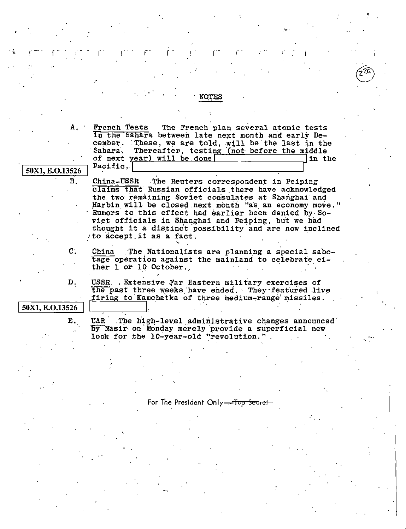|                 | A. French Tests The French plan several atomic tests<br>in the Sahara between late next month and early De-   |
|-----------------|---------------------------------------------------------------------------------------------------------------|
|                 | cember. These, we are told, will be the last in the<br>Thereafter, testing (not before the middle<br>Sahara.  |
|                 | of next year) will be done<br>in the                                                                          |
| 50X1, E.O.13526 | Pacific.                                                                                                      |
| $\cdot$ B.      | China-USSR The Reuters correspondent in Peiping                                                               |
|                 | claims that Russian officials there have acknowledged                                                         |
|                 | the two remaining Soviet consulates at Shanghai and<br>Harbin will be closed next month "as an economy move." |
|                 | Rumors to this effect had earlier been denied by So-                                                          |
|                 | viet officials in Shanghai and Peiping, but we had                                                            |
|                 | thought it a distinct possibility and are now inclined<br>to accept it as a fact.                             |
| $\mathbf{C}$ .  | China The Nationalists are planning a special sabo-                                                           |
|                 | tage operation against the mainland to celebrate ei-<br>ther 1 or 10 October.                                 |
| D.              | USSR. Extensive Far Eastern military exercises of                                                             |
|                 | the past three weeks have ended. They featured live<br>firing to Kamchatka of three medium-range missiles.    |
| 50X1, E.O.13526 |                                                                                                               |
| Ε.              | UAR The high-level administrative changes announced                                                           |
|                 | by Nasir on Monday merely provide a superficial new<br>look for the 10-year-old "revolution."                 |
|                 |                                                                                                               |
|                 |                                                                                                               |
|                 |                                                                                                               |
|                 |                                                                                                               |

For The President Only-<del>ەن.</del> <del>Secret</del>

ŀ,

 $\mathfrak{r}^{\ast}$ 

ľ

 $\mathsf{f}$ 

520